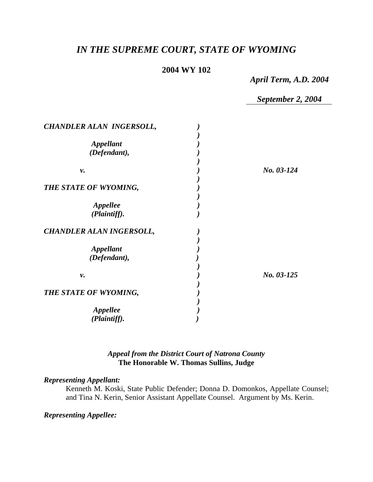# *IN THE SUPREME COURT, STATE OF WYOMING*

#### **2004 WY 102**

*April Term, A.D. 2004* 

*September 2, 2004* 

| CHANDLER ALAN INGERSOLL,        |            |
|---------------------------------|------------|
|                                 |            |
| <b>Appellant</b>                |            |
| (Defendant),                    |            |
|                                 |            |
| ν.                              | No. 03-124 |
|                                 |            |
| THE STATE OF WYOMING,           |            |
|                                 |            |
| Appellee                        |            |
| (Plaintiff).                    |            |
| <b>CHANDLER ALAN INGERSOLL,</b> |            |
|                                 |            |
| <b>Appellant</b>                |            |
| (Defendant),                    |            |
|                                 |            |
| ν.                              | No. 03-125 |
|                                 |            |
| THE STATE OF WYOMING,           |            |
|                                 |            |
|                                 |            |
| <b>Appellee</b>                 |            |
| (Plaintiff).                    |            |

# *Appeal from the District Court of Natrona County* **The Honorable W. Thomas Sullins, Judge**

#### *Representing Appellant:*

Kenneth M. Koski, State Public Defender; Donna D. Domonkos, Appellate Counsel; and Tina N. Kerin, Senior Assistant Appellate Counsel. Argument by Ms. Kerin.

*Representing Appellee:*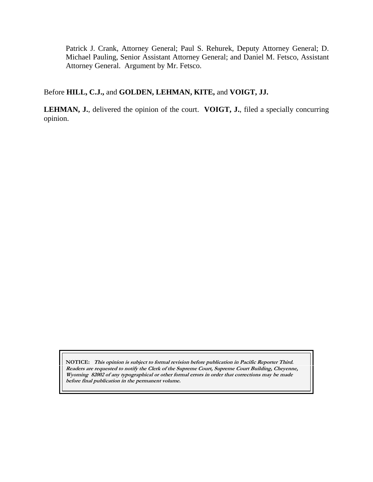Patrick J. Crank, Attorney General; Paul S. Rehurek, Deputy Attorney General; D. Michael Pauling, Senior Assistant Attorney General; and Daniel M. Fetsco, Assistant Attorney General. Argument by Mr. Fetsco.

# Before **HILL, C.J.,** and **GOLDEN, LEHMAN, KITE,** and **VOIGT, JJ.**

**LEHMAN, J.**, delivered the opinion of the court. **VOIGT, J.**, filed a specially concurring opinion.

**NOTICE: This opinion is subject to formal revision before publication in Pacific Reporter Third. Readers are requested to notify the Clerk of the Supreme Court, Supreme Court Building, Cheyenne, Wyoming 82002 of any typographical or other formal errors in order that corrections may be made before final publication in the permanent volume.**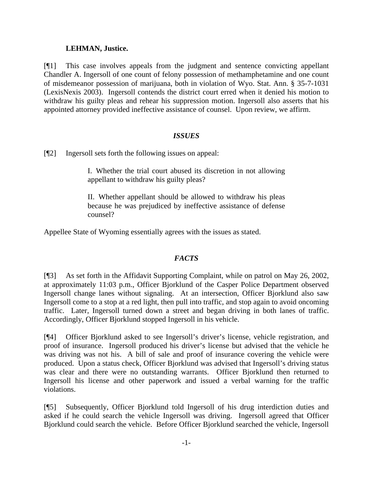### **LEHMAN, Justice.**

[¶1] This case involves appeals from the judgment and sentence convicting appellant Chandler A. Ingersoll of one count of felony possession of methamphetamine and one count of misdemeanor possession of marijuana, both in violation of Wyo. Stat. Ann. § 35-7-1031 (LexisNexis 2003). Ingersoll contends the district court erred when it denied his motion to withdraw his guilty pleas and rehear his suppression motion. Ingersoll also asserts that his appointed attorney provided ineffective assistance of counsel. Upon review, we affirm.

### *ISSUES*

[¶2] Ingersoll sets forth the following issues on appeal:

I. Whether the trial court abused its discretion in not allowing appellant to withdraw his guilty pleas?

II. Whether appellant should be allowed to withdraw his pleas because he was prejudiced by ineffective assistance of defense counsel?

Appellee State of Wyoming essentially agrees with the issues as stated.

# *FACTS*

[¶3] As set forth in the Affidavit Supporting Complaint, while on patrol on May 26, 2002, at approximately 11:03 p.m., Officer Bjorklund of the Casper Police Department observed Ingersoll change lanes without signaling. At an intersection, Officer Bjorklund also saw Ingersoll come to a stop at a red light, then pull into traffic, and stop again to avoid oncoming traffic. Later, Ingersoll turned down a street and began driving in both lanes of traffic. Accordingly, Officer Bjorklund stopped Ingersoll in his vehicle.

[¶4] Officer Bjorklund asked to see Ingersoll's driver's license, vehicle registration, and proof of insurance. Ingersoll produced his driver's license but advised that the vehicle he was driving was not his. A bill of sale and proof of insurance covering the vehicle were produced. Upon a status check, Officer Bjorklund was advised that Ingersoll's driving status was clear and there were no outstanding warrants. Officer Bjorklund then returned to Ingersoll his license and other paperwork and issued a verbal warning for the traffic violations.

[¶5] Subsequently, Officer Bjorklund told Ingersoll of his drug interdiction duties and asked if he could search the vehicle Ingersoll was driving. Ingersoll agreed that Officer Bjorklund could search the vehicle. Before Officer Bjorklund searched the vehicle, Ingersoll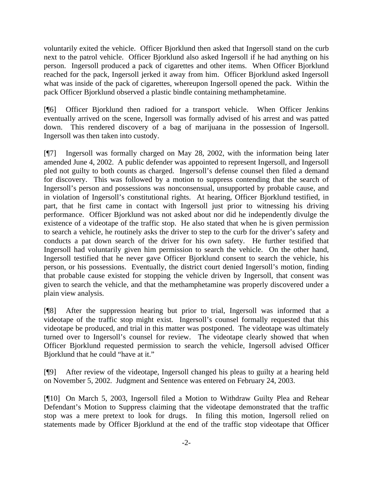voluntarily exited the vehicle. Officer Bjorklund then asked that Ingersoll stand on the curb next to the patrol vehicle. Officer Bjorklund also asked Ingersoll if he had anything on his person. Ingersoll produced a pack of cigarettes and other items. When Officer Bjorklund reached for the pack, Ingersoll jerked it away from him. Officer Bjorklund asked Ingersoll what was inside of the pack of cigarettes, whereupon Ingersoll opened the pack. Within the pack Officer Bjorklund observed a plastic bindle containing methamphetamine.

[¶6] Officer Bjorklund then radioed for a transport vehicle. When Officer Jenkins eventually arrived on the scene, Ingersoll was formally advised of his arrest and was patted down. This rendered discovery of a bag of marijuana in the possession of Ingersoll. Ingersoll was then taken into custody.

[¶7] Ingersoll was formally charged on May 28, 2002, with the information being later amended June 4, 2002. A public defender was appointed to represent Ingersoll, and Ingersoll pled not guilty to both counts as charged. Ingersoll's defense counsel then filed a demand for discovery. This was followed by a motion to suppress contending that the search of Ingersoll's person and possessions was nonconsensual, unsupported by probable cause, and in violation of Ingersoll's constitutional rights. At hearing, Officer Bjorklund testified, in part, that he first came in contact with Ingersoll just prior to witnessing his driving performance. Officer Bjorklund was not asked about nor did he independently divulge the existence of a videotape of the traffic stop. He also stated that when he is given permission to search a vehicle, he routinely asks the driver to step to the curb for the driver's safety and conducts a pat down search of the driver for his own safety. He further testified that Ingersoll had voluntarily given him permission to search the vehicle. On the other hand, Ingersoll testified that he never gave Officer Bjorklund consent to search the vehicle, his person, or his possessions. Eventually, the district court denied Ingersoll's motion, finding that probable cause existed for stopping the vehicle driven by Ingersoll, that consent was given to search the vehicle, and that the methamphetamine was properly discovered under a plain view analysis.

[¶8] After the suppression hearing but prior to trial, Ingersoll was informed that a videotape of the traffic stop might exist. Ingersoll's counsel formally requested that this videotape be produced, and trial in this matter was postponed. The videotape was ultimately turned over to Ingersoll's counsel for review. The videotape clearly showed that when Officer Bjorklund requested permission to search the vehicle, Ingersoll advised Officer Bjorklund that he could "have at it."

[¶9] After review of the videotape, Ingersoll changed his pleas to guilty at a hearing held on November 5, 2002. Judgment and Sentence was entered on February 24, 2003.

[¶10] On March 5, 2003, Ingersoll filed a Motion to Withdraw Guilty Plea and Rehear Defendant's Motion to Suppress claiming that the videotape demonstrated that the traffic stop was a mere pretext to look for drugs. In filing this motion, Ingersoll relied on statements made by Officer Bjorklund at the end of the traffic stop videotape that Officer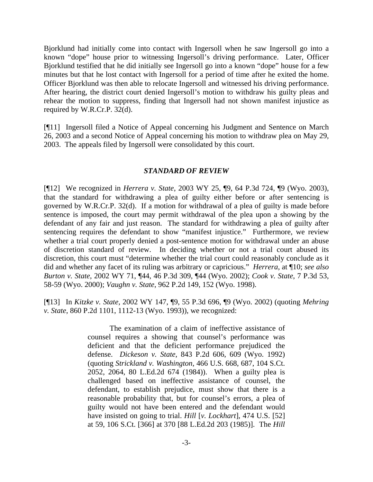Bjorklund had initially come into contact with Ingersoll when he saw Ingersoll go into a known "dope" house prior to witnessing Ingersoll's driving performance. Later, Officer Bjorklund testified that he did initially see Ingersoll go into a known "dope" house for a few minutes but that he lost contact with Ingersoll for a period of time after he exited the home. Officer Bjorklund was then able to relocate Ingersoll and witnessed his driving performance. After hearing, the district court denied Ingersoll's motion to withdraw his guilty pleas and rehear the motion to suppress, finding that Ingersoll had not shown manifest injustice as required by W.R.Cr.P. 32(d).

[¶11] Ingersoll filed a Notice of Appeal concerning his Judgment and Sentence on March 26, 2003 and a second Notice of Appeal concerning his motion to withdraw plea on May 29, 2003. The appeals filed by Ingersoll were consolidated by this court.

#### *STANDARD OF REVIEW*

[¶12] We recognized in *Herrera v. State*, 2003 WY 25, ¶9, 64 P.3d 724, ¶9 (Wyo. 2003), that the standard for withdrawing a plea of guilty either before or after sentencing is governed by W.R.Cr.P. 32(d). If a motion for withdrawal of a plea of guilty is made before sentence is imposed, the court may permit withdrawal of the plea upon a showing by the defendant of any fair and just reason. The standard for withdrawing a plea of guilty after sentencing requires the defendant to show "manifest injustice." Furthermore, we review whether a trial court properly denied a post-sentence motion for withdrawal under an abuse of discretion standard of review. In deciding whether or not a trial court abused its discretion, this court must "determine whether the trial court could reasonably conclude as it did and whether any facet of its ruling was arbitrary or capricious." *Herrera*, at ¶10; *see also Burton v. State*, 2002 WY 71, ¶44, 46 P.3d 309, ¶44 (Wyo. 2002); *Cook v. State*, 7 P.3d 53, 58-59 (Wyo. 2000); *Vaughn v. State*, 962 P.2d 149, 152 (Wyo. 1998).

[¶13] In *Kitzke v. State*, 2002 WY 147, ¶9, 55 P.3d 696, ¶9 (Wyo. 2002) (quoting *Mehring v. State*, 860 P.2d 1101, 1112-13 (Wyo. 1993)), we recognized:

> The examination of a claim of ineffective assistance of counsel requires a showing that counsel's performance was deficient and that the deficient performance prejudiced the defense. *Dickeson v. State*, 843 P.2d 606, 609 (Wyo. 1992) (quoting *Strickland v. Washington*, 466 U.S. 668, 687, 104 S.Ct. 2052, 2064, 80 L.Ed.2d 674 (1984)). When a guilty plea is challenged based on ineffective assistance of counsel, the defendant, to establish prejudice, must show that there is a reasonable probability that, but for counsel's errors, a plea of guilty would not have been entered and the defendant would have insisted on going to trial. *Hill* [*v. Lockhart*], 474 U.S. [52] at 59, 106 S.Ct. [366] at 370 [88 L.Ed.2d 203 (1985)]. The *Hill*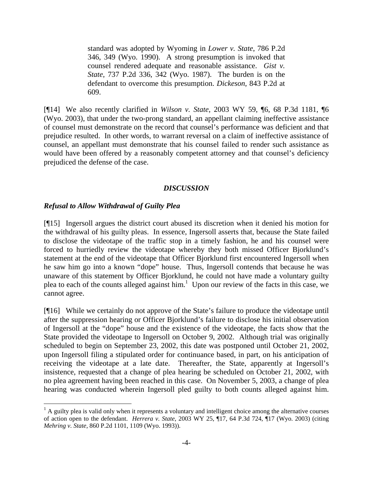standard was adopted by Wyoming in *Lower v. State*, 786 P.2d 346, 349 (Wyo. 1990). A strong presumption is invoked that counsel rendered adequate and reasonable assistance. *Gist v. State*, 737 P.2d 336, 342 (Wyo. 1987). The burden is on the defendant to overcome this presumption. *Dickeson*, 843 P.2d at 609.

[¶14] We also recently clarified in *Wilson v. State*, 2003 WY 59, ¶6, 68 P.3d 1181, ¶6 (Wyo. 2003), that under the two-prong standard, an appellant claiming ineffective assistance of counsel must demonstrate on the record that counsel's performance was deficient and that prejudice resulted. In other words, to warrant reversal on a claim of ineffective assistance of counsel, an appellant must demonstrate that his counsel failed to render such assistance as would have been offered by a reasonably competent attorney and that counsel's deficiency prejudiced the defense of the case.

#### *DISCUSSION*

### *Refusal to Allow Withdrawal of Guilty Plea*

l

[¶15] Ingersoll argues the district court abused its discretion when it denied his motion for the withdrawal of his guilty pleas. In essence, Ingersoll asserts that, because the State failed to disclose the videotape of the traffic stop in a timely fashion, he and his counsel were forced to hurriedly review the videotape whereby they both missed Officer Bjorklund's statement at the end of the videotape that Officer Bjorklund first encountered Ingersoll when he saw him go into a known "dope" house. Thus, Ingersoll contends that because he was unaware of this statement by Officer Bjorklund, he could not have made a voluntary guilty plea to each of the counts alleged against him.<sup>1</sup> Upon our review of the facts in this case, we cannot agree.

[¶16] While we certainly do not approve of the State's failure to produce the videotape until after the suppression hearing or Officer Bjorklund's failure to disclose his initial observation of Ingersoll at the "dope" house and the existence of the videotape, the facts show that the State provided the videotape to Ingersoll on October 9, 2002. Although trial was originally scheduled to begin on September 23, 2002, this date was postponed until October 21, 2002, upon Ingersoll filing a stipulated order for continuance based, in part, on his anticipation of receiving the videotape at a late date. Thereafter, the State, apparently at Ingersoll's insistence, requested that a change of plea hearing be scheduled on October 21, 2002, with no plea agreement having been reached in this case. On November 5, 2003, a change of plea hearing was conducted wherein Ingersoll pled guilty to both counts alleged against him.

 $<sup>1</sup>$  A guilty plea is valid only when it represents a voluntary and intelligent choice among the alternative courses</sup> of action open to the defendant. *Herrera v. State*, 2003 WY 25, ¶17, 64 P.3d 724, ¶17 (Wyo. 2003) (citing *Mehring v. State*, 860 P.2d 1101, 1109 (Wyo. 1993)).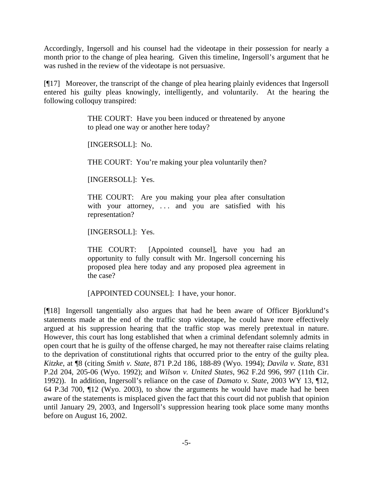Accordingly, Ingersoll and his counsel had the videotape in their possession for nearly a month prior to the change of plea hearing. Given this timeline, Ingersoll's argument that he was rushed in the review of the videotape is not persuasive.

[¶17] Moreover, the transcript of the change of plea hearing plainly evidences that Ingersoll entered his guilty pleas knowingly, intelligently, and voluntarily. At the hearing the following colloquy transpired:

> THE COURT: Have you been induced or threatened by anyone to plead one way or another here today?

[INGERSOLL]: No.

THE COURT: You're making your plea voluntarily then?

[INGERSOLL]: Yes.

THE COURT: Are you making your plea after consultation with your attorney, ... and you are satisfied with his representation?

[INGERSOLL]: Yes.

THE COURT: [Appointed counsel], have you had an opportunity to fully consult with Mr. Ingersoll concerning his proposed plea here today and any proposed plea agreement in the case?

[APPOINTED COUNSEL]: I have, your honor.

[¶18] Ingersoll tangentially also argues that had he been aware of Officer Bjorklund's statements made at the end of the traffic stop videotape, he could have more effectively argued at his suppression hearing that the traffic stop was merely pretextual in nature. However, this court has long established that when a criminal defendant solemnly admits in open court that he is guilty of the offense charged, he may not thereafter raise claims relating to the deprivation of constitutional rights that occurred prior to the entry of the guilty plea. *Kitzke*, at ¶8 (citing *Smith v. State*, 871 P.2d 186, 188-89 (Wyo. 1994); *Davila v. State*, 831 P.2d 204, 205-06 (Wyo. 1992); and *Wilson v. United States*, 962 F.2d 996, 997 (11th Cir. 1992)). In addition, Ingersoll's reliance on the case of *Damato v. State*, 2003 WY 13, ¶12, 64 P.3d 700, ¶12 (Wyo. 2003), to show the arguments he would have made had he been aware of the statements is misplaced given the fact that this court did not publish that opinion until January 29, 2003, and Ingersoll's suppression hearing took place some many months before on August 16, 2002.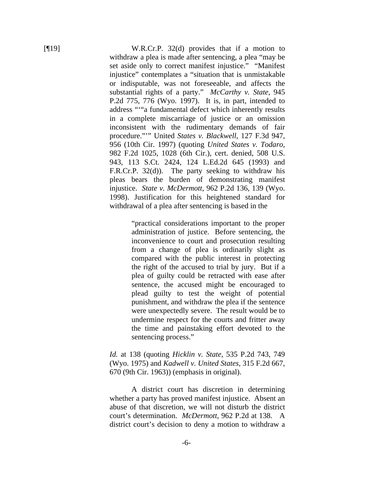[¶19] W.R.Cr.P. 32(d) provides that if a motion to withdraw a plea is made after sentencing, a plea "may be set aside only to correct manifest injustice." "Manifest injustice" contemplates a "situation that is unmistakable or indisputable, was not foreseeable, and affects the substantial rights of a party." *McCarthy v. State*, 945 P.2d 775, 776 (Wyo. 1997). It is, in part, intended to address "'"a fundamental defect which inherently results in a complete miscarriage of justice or an omission inconsistent with the rudimentary demands of fair procedure."'" United *States v. Blackwell*, 127 F.3d 947, 956 (10th Cir. 1997) (quoting *United States v. Todaro*, 982 F.2d 1025, 1028 (6th Cir.), cert. denied, 508 U.S. 943, 113 S.Ct. 2424, 124 L.Ed.2d 645 (1993) and F.R.Cr.P. 32(d)). The party seeking to withdraw his pleas bears the burden of demonstrating manifest injustice. *State v. McDermott*, 962 P.2d 136, 139 (Wyo. 1998). Justification for this heightened standard for withdrawal of a plea after sentencing is based in the

> "practical considerations important to the proper administration of justice. Before sentencing, the inconvenience to court and prosecution resulting from a change of plea is ordinarily slight as compared with the public interest in protecting the right of the accused to trial by jury. But if a plea of guilty could be retracted with ease after sentence, the accused might be encouraged to plead guilty to test the weight of potential punishment, and withdraw the plea if the sentence were unexpectedly severe. The result would be to undermine respect for the courts and fritter away the time and painstaking effort devoted to the sentencing process."

*Id.* at 138 (quoting *Hicklin v. State*, 535 P.2d 743, 749 (Wyo. 1975) and *Kadwell v. United States*, 315 F.2d 667, 670 (9th Cir. 1963)) (emphasis in original).

 A district court has discretion in determining whether a party has proved manifest injustice. Absent an abuse of that discretion, we will not disturb the district court's determination. *McDermott*, 962 P.2d at 138. A district court's decision to deny a motion to withdraw a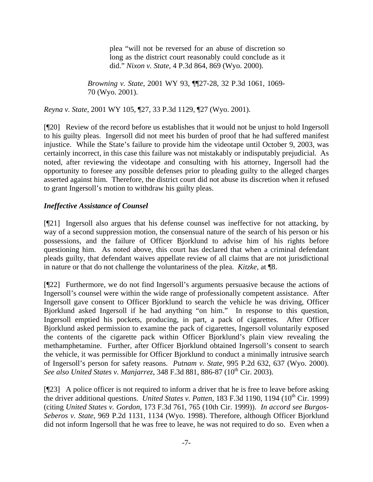plea "will not be reversed for an abuse of discretion so long as the district court reasonably could conclude as it did." *Nixon v. State*, 4 P.3d 864, 869 (Wyo. 2000).

*Browning v. State*, 2001 WY 93, ¶¶27-28, 32 P.3d 1061, 1069- 70 (Wyo. 2001).

*Reyna v. State*, 2001 WY 105, ¶27, 33 P.3d 1129, ¶27 (Wyo. 2001).

[¶20] Review of the record before us establishes that it would not be unjust to hold Ingersoll to his guilty pleas. Ingersoll did not meet his burden of proof that he had suffered manifest injustice. While the State's failure to provide him the videotape until October 9, 2003, was certainly incorrect, in this case this failure was not mistakably or indisputably prejudicial. As noted, after reviewing the videotape and consulting with his attorney, Ingersoll had the opportunity to foresee any possible defenses prior to pleading guilty to the alleged charges asserted against him. Therefore, the district court did not abuse its discretion when it refused to grant Ingersoll's motion to withdraw his guilty pleas.

# *Ineffective Assistance of Counsel*

[¶21] Ingersoll also argues that his defense counsel was ineffective for not attacking, by way of a second suppression motion, the consensual nature of the search of his person or his possessions, and the failure of Officer Bjorklund to advise him of his rights before questioning him. As noted above, this court has declared that when a criminal defendant pleads guilty, that defendant waives appellate review of all claims that are not jurisdictional in nature or that do not challenge the voluntariness of the plea. *Kitzke*, at ¶8.

[¶22] Furthermore, we do not find Ingersoll's arguments persuasive because the actions of Ingersoll's counsel were within the wide range of professionally competent assistance. After Ingersoll gave consent to Officer Bjorklund to search the vehicle he was driving, Officer Bjorklund asked Ingersoll if he had anything "on him." In response to this question, Ingersoll emptied his pockets, producing, in part, a pack of cigarettes. After Officer Bjorklund asked permission to examine the pack of cigarettes, Ingersoll voluntarily exposed the contents of the cigarette pack within Officer Bjorklund's plain view revealing the methamphetamine. Further, after Officer Bjorklund obtained Ingersoll's consent to search the vehicle, it was permissible for Officer Bjorklund to conduct a minimally intrusive search of Ingersoll's person for safety reasons. *Putnam v. State*, 995 P.2d 632, 637 (Wyo. 2000). *See also United States v. Manjarrez, 348 F.3d 881, 886-87 (10<sup>th</sup> Cir. 2003).* 

[¶23] A police officer is not required to inform a driver that he is free to leave before asking the driver additional questions. *United States v. Patten*, 183 F.3d 1190, 1194 (10<sup>th</sup> Cir. 1999) (citing *United States v. Gordon*, 173 F.3d 761, 765 (10th Cir. 1999)). *In accord see Burgos-Seberos v. State*, 969 P.2d 1131, 1134 (Wyo. 1998). Therefore, although Officer Bjorklund did not inform Ingersoll that he was free to leave, he was not required to do so. Even when a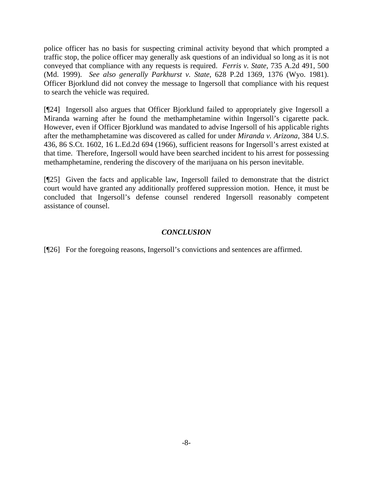police officer has no basis for suspecting criminal activity beyond that which prompted a traffic stop, the police officer may generally ask questions of an individual so long as it is not conveyed that compliance with any requests is required. *Ferris v. State*, 735 A.2d 491, 500 (Md. 1999). *See also generally Parkhurst v. State*, 628 P.2d 1369, 1376 (Wyo. 1981). Officer Bjorklund did not convey the message to Ingersoll that compliance with his request to search the vehicle was required.

[¶24] Ingersoll also argues that Officer Bjorklund failed to appropriately give Ingersoll a Miranda warning after he found the methamphetamine within Ingersoll's cigarette pack. However, even if Officer Bjorklund was mandated to advise Ingersoll of his applicable rights after the methamphetamine was discovered as called for under *Miranda v. Arizona,* 384 U.S. 436, 86 S.Ct. 1602, 16 L.Ed.2d 694 (1966), sufficient reasons for Ingersoll's arrest existed at that time. Therefore, Ingersoll would have been searched incident to his arrest for possessing methamphetamine, rendering the discovery of the marijuana on his person inevitable.

[¶25] Given the facts and applicable law, Ingersoll failed to demonstrate that the district court would have granted any additionally proffered suppression motion. Hence, it must be concluded that Ingersoll's defense counsel rendered Ingersoll reasonably competent assistance of counsel.

# *CONCLUSION*

[¶26] For the foregoing reasons, Ingersoll's convictions and sentences are affirmed.